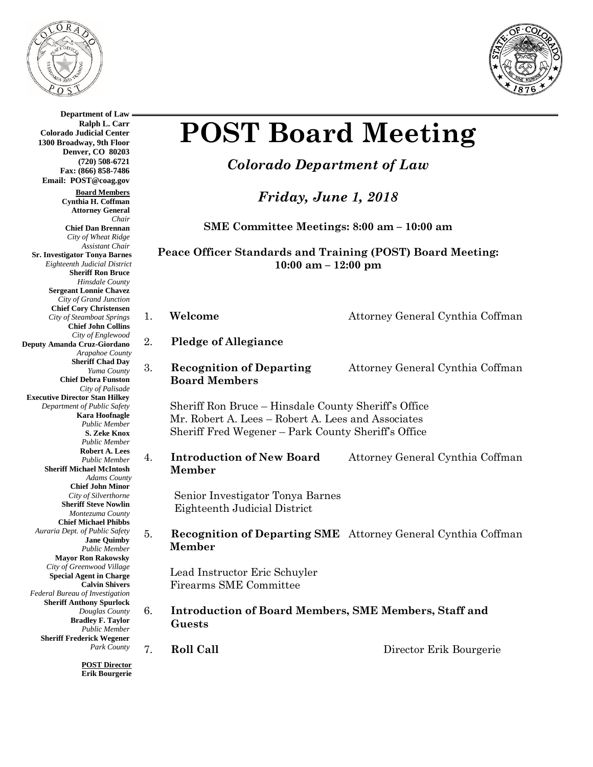

**Department of Law Ralph L. Carr**

**Board Members Cynthia H. Coffman Attorney General**

**Chief Dan Brennan** *City of Wheat Ridge Assistant Chair*

**Sr. Investigator Tonya Barnes** *Eighteenth Judicial District* **Sheriff Ron Bruce** *Hinsdale County* **Sergeant Lonnie Chavez** *City of Grand Junction* **Chief Cory Christensen** *City of Steamboat Springs* **Chief John Collins** *City of Englewood*

**Deputy Amanda Cruz-Giordano**

**Executive Director Stan Hilkey** *Department of Public Safety*

**Sheriff Michael McIntosh**

*Federal Bureau of Investigation* **Sheriff Anthony Spurlock** *Douglas County* **Bradley F. Taylor** *Public Member*

**Sheriff Frederick Wegener**

*Arapahoe County* **Sheriff Chad Day** *Yuma County* **Chief Debra Funston** *City of Palisade*

> **Kara Hoofnagle** *Public Member* **S. Zeke Knox** *Public Member* **Robert A. Lees** *Public Member*

*Adams County* **Chief John Minor** *City of Silverthorne* **Sheriff Steve Nowlin** *Montezuma County* **Chief Michael Phibbs** *Auraria Dept. of Public Safety*

> **Jane Quimby** *Public Member* **Mayor Ron Rakowsky** *City of Greenwood Village* **Special Agent in Charge Calvin Shivers**

*Chair*

**Colorado Judicial Center 1300 Broadway, 9th Floor Denver, CO 80203 (720) 508-6721 Fax: (866) 858-7486 Email: POST@coag.gov**



# **POST Board Meeting**

# *Colorado Department of Law*

*Friday, June 1, 2018*

**SME Committee Meetings: 8:00 am – 10:00 am**

**Peace Officer Standards and Training (POST) Board Meeting: 10:00 am – 12:00 pm**

2. **Pledge of Allegiance**

3. **Recognition of Departing** Attorney General Cynthia Coffman  **Board Members**

Sheriff Ron Bruce – Hinsdale County Sheriff's Office Mr. Robert A. Lees – Robert A. Lees and Associates Sheriff Fred Wegener – Park County Sheriff's Office

4. **Introduction of New Board** Attorney General Cynthia Coffman  **Member**

Senior Investigator Tonya Barnes Eighteenth Judicial District

### 5. **Recognition of Departing SME** Attorney General Cynthia Coffman  **Member**

Lead Instructor Eric Schuyler Firearms SME Committee

6. **Introduction of Board Members, SME Members, Staff and Guests**

**POST Director Erik Bourgerie**

*Park County*

7. **Roll Call** Director Erik Bourgerie

1. **Welcome** Attorney General Cynthia Coffman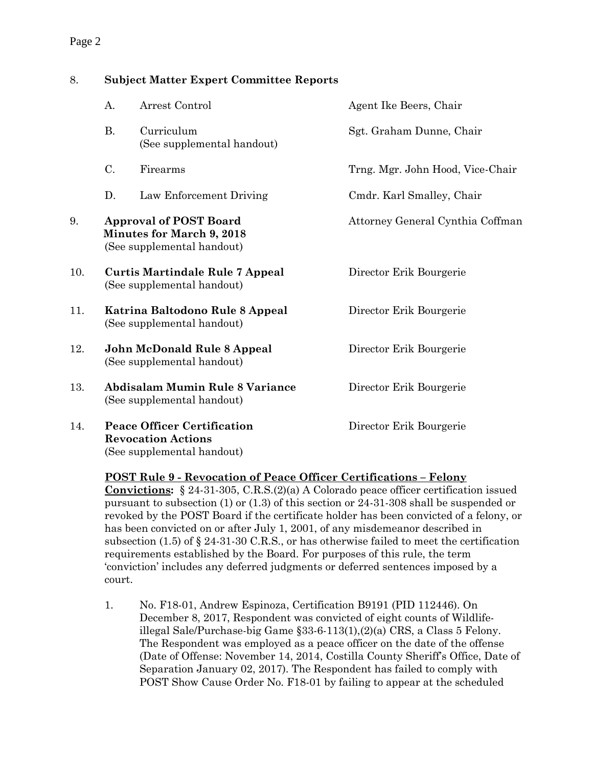## Page 2

## 8. **Subject Matter Expert Committee Reports**

|     | A.                                                                                              | Arrest Control                                                                                | Agent Ike Beers, Chair           |
|-----|-------------------------------------------------------------------------------------------------|-----------------------------------------------------------------------------------------------|----------------------------------|
|     | <b>B.</b>                                                                                       | Curriculum<br>(See supplemental handout)                                                      | Sgt. Graham Dunne, Chair         |
|     | C.                                                                                              | Firearms                                                                                      | Trng. Mgr. John Hood, Vice-Chair |
|     | D.                                                                                              | Law Enforcement Driving                                                                       | Cmdr. Karl Smalley, Chair        |
| 9.  | <b>Approval of POST Board</b><br><b>Minutes for March 9, 2018</b><br>(See supplemental handout) |                                                                                               | Attorney General Cynthia Coffman |
| 10. | <b>Curtis Martindale Rule 7 Appeal</b><br>(See supplemental handout)                            |                                                                                               | Director Erik Bourgerie          |
| 11. | Katrina Baltodono Rule 8 Appeal<br>(See supplemental handout)                                   |                                                                                               | Director Erik Bourgerie          |
| 12. | John McDonald Rule 8 Appeal<br>(See supplemental handout)                                       |                                                                                               | Director Erik Bourgerie          |
| 13. | <b>Abdisalam Mumin Rule 8 Variance</b><br>(See supplemental handout)                            |                                                                                               | Director Erik Bourgerie          |
| 14. |                                                                                                 | <b>Peace Officer Certification</b><br><b>Revocation Actions</b><br>(See supplemental handout) | Director Erik Bourgerie          |

#### **POST Rule 9 - Revocation of Peace Officer Certifications – Felony**

**Convictions:** § 24-31-305, C.R.S.(2)(a) A Colorado peace officer certification issued pursuant to subsection (1) or (1.3) of this section or 24-31-308 shall be suspended or revoked by the POST Board if the certificate holder has been convicted of a felony, or has been convicted on or after July 1, 2001, of any misdemeanor described in subsection (1.5) of § 24-31-30 C.R.S., or has otherwise failed to meet the certification requirements established by the Board. For purposes of this rule, the term 'conviction' includes any deferred judgments or deferred sentences imposed by a court.

1. No. F18-01, Andrew Espinoza, Certification B9191 (PID 112446). On December 8, 2017, Respondent was convicted of eight counts of Wildlifeillegal Sale/Purchase-big Game §33-6-113(1),(2)(a) CRS, a Class 5 Felony. The Respondent was employed as a peace officer on the date of the offense (Date of Offense: November 14, 2014, Costilla County Sheriff's Office, Date of Separation January 02, 2017). The Respondent has failed to comply with POST Show Cause Order No. F18-01 by failing to appear at the scheduled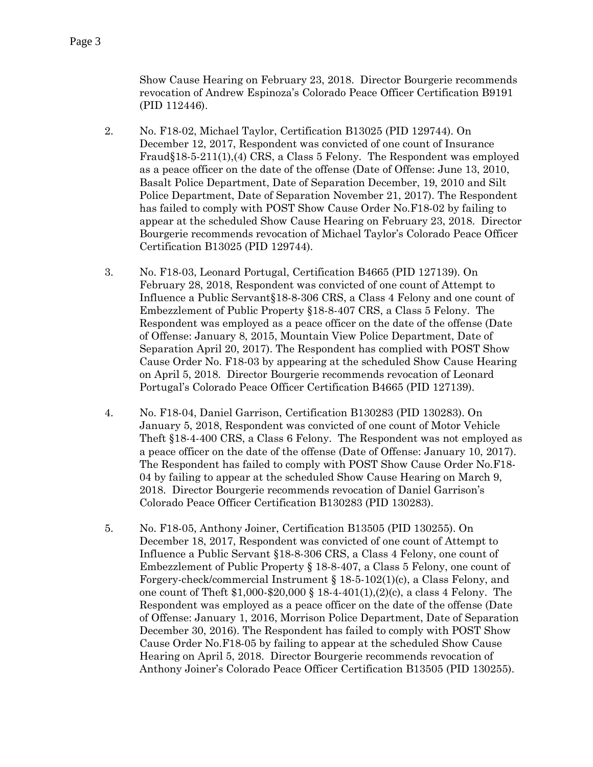Show Cause Hearing on February 23, 2018. Director Bourgerie recommends revocation of Andrew Espinoza's Colorado Peace Officer Certification B9191 (PID 112446).

- 2. No. F18-02, Michael Taylor, Certification B13025 (PID 129744). On December 12, 2017, Respondent was convicted of one count of Insurance Fraud§18-5-211(1),(4) CRS, a Class 5 Felony. The Respondent was employed as a peace officer on the date of the offense (Date of Offense: June 13, 2010, Basalt Police Department, Date of Separation December, 19, 2010 and Silt Police Department, Date of Separation November 21, 2017). The Respondent has failed to comply with POST Show Cause Order No.F18-02 by failing to appear at the scheduled Show Cause Hearing on February 23, 2018. Director Bourgerie recommends revocation of Michael Taylor's Colorado Peace Officer Certification B13025 (PID 129744).
- 3. No. F18-03, Leonard Portugal, Certification B4665 (PID 127139). On February 28, 2018, Respondent was convicted of one count of Attempt to Influence a Public Servant§18-8-306 CRS, a Class 4 Felony and one count of Embezzlement of Public Property §18-8-407 CRS, a Class 5 Felony. The Respondent was employed as a peace officer on the date of the offense (Date of Offense: January 8, 2015, Mountain View Police Department, Date of Separation April 20, 2017). The Respondent has complied with POST Show Cause Order No. F18-03 by appearing at the scheduled Show Cause Hearing on April 5, 2018. Director Bourgerie recommends revocation of Leonard Portugal's Colorado Peace Officer Certification B4665 (PID 127139).
- 4. No. F18-04, Daniel Garrison, Certification B130283 (PID 130283). On January 5, 2018, Respondent was convicted of one count of Motor Vehicle Theft §18-4-400 CRS, a Class 6 Felony. The Respondent was not employed as a peace officer on the date of the offense (Date of Offense: January 10, 2017). The Respondent has failed to comply with POST Show Cause Order No.F18- 04 by failing to appear at the scheduled Show Cause Hearing on March 9, 2018. Director Bourgerie recommends revocation of Daniel Garrison's Colorado Peace Officer Certification B130283 (PID 130283).
- 5. No. F18-05, Anthony Joiner, Certification B13505 (PID 130255). On December 18, 2017, Respondent was convicted of one count of Attempt to Influence a Public Servant §18-8-306 CRS, a Class 4 Felony, one count of Embezzlement of Public Property § 18-8-407, a Class 5 Felony, one count of Forgery-check/commercial Instrument § 18-5-102(1)(c), a Class Felony, and one count of Theft \$1,000-\$20,000 § 18-4-401(1),(2)(c), a class 4 Felony. The Respondent was employed as a peace officer on the date of the offense (Date of Offense: January 1, 2016, Morrison Police Department, Date of Separation December 30, 2016). The Respondent has failed to comply with POST Show Cause Order No.F18-05 by failing to appear at the scheduled Show Cause Hearing on April 5, 2018. Director Bourgerie recommends revocation of Anthony Joiner's Colorado Peace Officer Certification B13505 (PID 130255).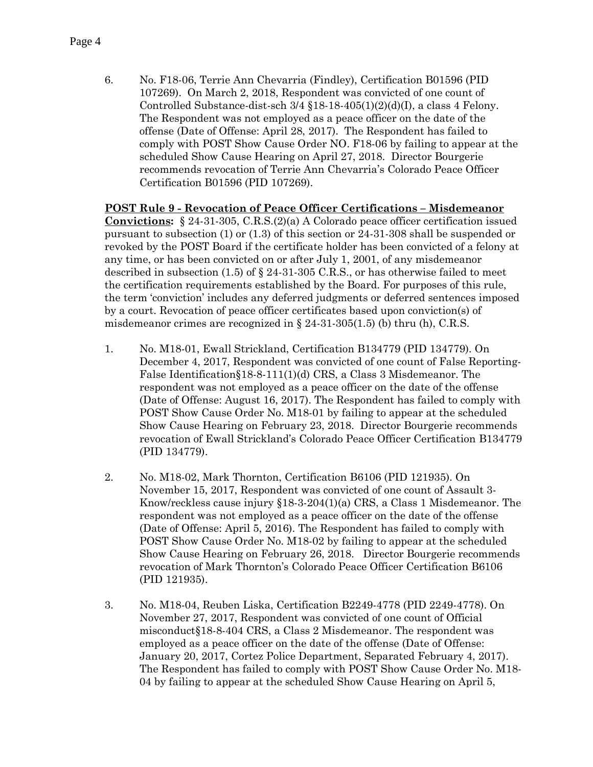6. No. F18-06, Terrie Ann Chevarria (Findley), Certification B01596 (PID 107269). On March 2, 2018, Respondent was convicted of one count of Controlled Substance-dist-sch  $3/4$  §18-18-405(1)(2)(d)(I), a class 4 Felony. The Respondent was not employed as a peace officer on the date of the offense (Date of Offense: April 28, 2017). The Respondent has failed to comply with POST Show Cause Order NO. F18-06 by failing to appear at the scheduled Show Cause Hearing on April 27, 2018. Director Bourgerie recommends revocation of Terrie Ann Chevarria's Colorado Peace Officer Certification B01596 (PID 107269).

#### **POST Rule 9 - Revocation of Peace Officer Certifications – Misdemeanor**

**Convictions:** § 24-31-305, C.R.S.(2)(a) A Colorado peace officer certification issued pursuant to subsection (1) or (1.3) of this section or 24-31-308 shall be suspended or revoked by the POST Board if the certificate holder has been convicted of a felony at any time, or has been convicted on or after July 1, 2001, of any misdemeanor described in subsection  $(1.5)$  of  $\S$  24-31-305 C.R.S., or has otherwise failed to meet the certification requirements established by the Board. For purposes of this rule, the term 'conviction' includes any deferred judgments or deferred sentences imposed by a court. Revocation of peace officer certificates based upon conviction(s) of misdemeanor crimes are recognized in  $\S 24-31-305(1.5)$  (b) thru (h), C.R.S.

- 1. No. M18-01, Ewall Strickland, Certification B134779 (PID 134779). On December 4, 2017, Respondent was convicted of one count of False Reporting-False Identification§18-8-111(1)(d) CRS, a Class 3 Misdemeanor. The respondent was not employed as a peace officer on the date of the offense (Date of Offense: August 16, 2017). The Respondent has failed to comply with POST Show Cause Order No. M18-01 by failing to appear at the scheduled Show Cause Hearing on February 23, 2018. Director Bourgerie recommends revocation of Ewall Strickland's Colorado Peace Officer Certification B134779 (PID 134779).
- 2. No. M18-02, Mark Thornton, Certification B6106 (PID 121935). On November 15, 2017, Respondent was convicted of one count of Assault 3- Know/reckless cause injury §18-3-204(1)(a) CRS, a Class 1 Misdemeanor. The respondent was not employed as a peace officer on the date of the offense (Date of Offense: April 5, 2016). The Respondent has failed to comply with POST Show Cause Order No. M18-02 by failing to appear at the scheduled Show Cause Hearing on February 26, 2018. Director Bourgerie recommends revocation of Mark Thornton's Colorado Peace Officer Certification B6106 (PID 121935).
- 3. No. M18-04, Reuben Liska, Certification B2249-4778 (PID 2249-4778). On November 27, 2017, Respondent was convicted of one count of Official misconduct§18-8-404 CRS, a Class 2 Misdemeanor. The respondent was employed as a peace officer on the date of the offense (Date of Offense: January 20, 2017, Cortez Police Department, Separated February 4, 2017). The Respondent has failed to comply with POST Show Cause Order No. M18- 04 by failing to appear at the scheduled Show Cause Hearing on April 5,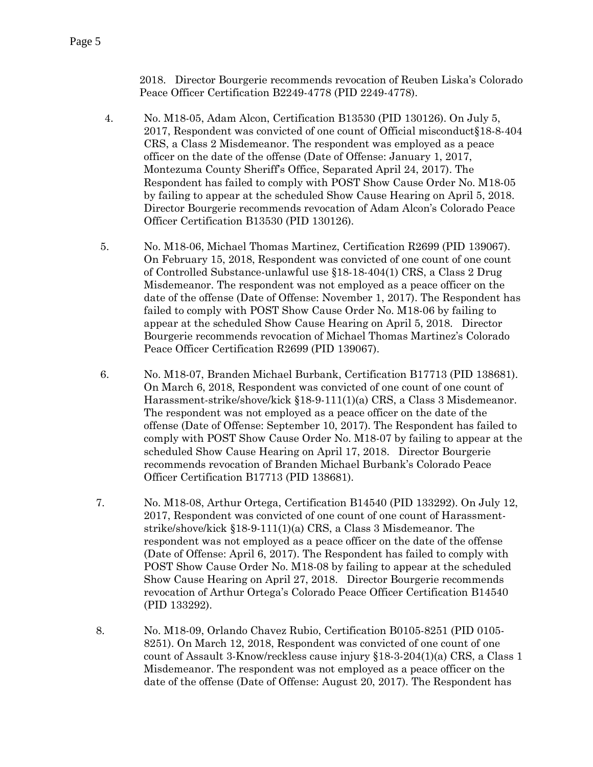2018. Director Bourgerie recommends revocation of Reuben Liska's Colorado Peace Officer Certification B2249-4778 (PID 2249-4778).

- 4. No. M18-05, Adam Alcon, Certification B13530 (PID 130126). On July 5, 2017, Respondent was convicted of one count of Official misconduct§18-8-404 CRS, a Class 2 Misdemeanor. The respondent was employed as a peace officer on the date of the offense (Date of Offense: January 1, 2017, Montezuma County Sheriff's Office, Separated April 24, 2017). The Respondent has failed to comply with POST Show Cause Order No. M18-05 by failing to appear at the scheduled Show Cause Hearing on April 5, 2018. Director Bourgerie recommends revocation of Adam Alcon's Colorado Peace Officer Certification B13530 (PID 130126).
- 5. No. M18-06, Michael Thomas Martinez, Certification R2699 (PID 139067). On February 15, 2018, Respondent was convicted of one count of one count of Controlled Substance-unlawful use §18-18-404(1) CRS, a Class 2 Drug Misdemeanor. The respondent was not employed as a peace officer on the date of the offense (Date of Offense: November 1, 2017). The Respondent has failed to comply with POST Show Cause Order No. M18-06 by failing to appear at the scheduled Show Cause Hearing on April 5, 2018. Director Bourgerie recommends revocation of Michael Thomas Martinez's Colorado Peace Officer Certification R2699 (PID 139067).
- 6. No. M18-07, Branden Michael Burbank, Certification B17713 (PID 138681). On March 6, 2018, Respondent was convicted of one count of one count of Harassment-strike/shove/kick §18-9-111(1)(a) CRS, a Class 3 Misdemeanor. The respondent was not employed as a peace officer on the date of the offense (Date of Offense: September 10, 2017). The Respondent has failed to comply with POST Show Cause Order No. M18-07 by failing to appear at the scheduled Show Cause Hearing on April 17, 2018. Director Bourgerie recommends revocation of Branden Michael Burbank's Colorado Peace Officer Certification B17713 (PID 138681).
- 7. No. M18-08, Arthur Ortega, Certification B14540 (PID 133292). On July 12, 2017, Respondent was convicted of one count of one count of Harassmentstrike/shove/kick §18-9-111(1)(a) CRS, a Class 3 Misdemeanor. The respondent was not employed as a peace officer on the date of the offense (Date of Offense: April 6, 2017). The Respondent has failed to comply with POST Show Cause Order No. M18-08 by failing to appear at the scheduled Show Cause Hearing on April 27, 2018. Director Bourgerie recommends revocation of Arthur Ortega's Colorado Peace Officer Certification B14540 (PID 133292).
- 8. No. M18-09, Orlando Chavez Rubio, Certification B0105-8251 (PID 0105- 8251). On March 12, 2018, Respondent was convicted of one count of one count of Assault 3-Know/reckless cause injury §18-3-204(1)(a) CRS, a Class 1 Misdemeanor. The respondent was not employed as a peace officer on the date of the offense (Date of Offense: August 20, 2017). The Respondent has